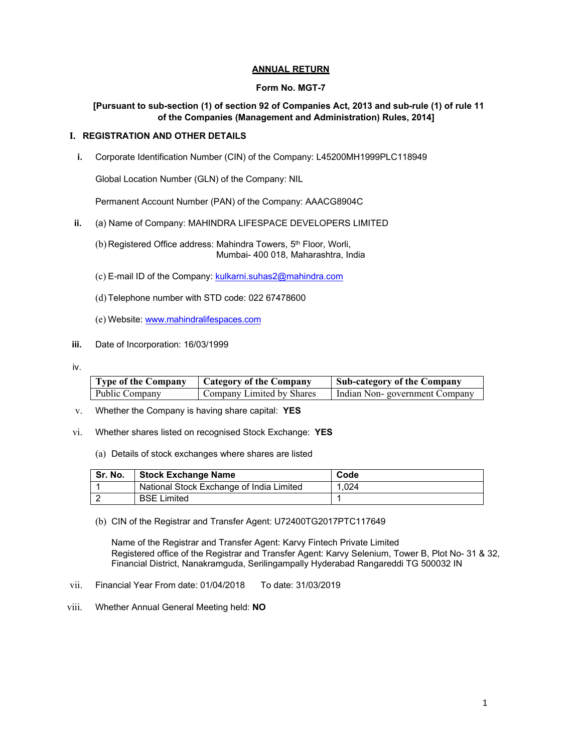# **ANNUAL RETURN**

## **Form No. MGT-7**

# **[Pursuant to sub-section (1) of section 92 of Companies Act, 2013 and sub-rule (1) of rule 11 of the Companies (Management and Administration) Rules, 2014]**

#### **I. REGISTRATION AND OTHER DETAILS**

**i.** Corporate Identification Number (CIN) of the Company: L45200MH1999PLC118949

Global Location Number (GLN) of the Company: NIL

Permanent Account Number (PAN) of the Company: AAACG8904C

- **ii.** (a) Name of Company: MAHINDRA LIFESPACE DEVELOPERS LIMITED
	- (b) Registered Office address: Mahindra Towers, 5<sup>th</sup> Floor, Worli, Mumbai- 400 018, Maharashtra, India
	- (c) E-mail ID of the Company: kulkarni.suhas2@mahindra.com
	- (d) Telephone number with STD code: 022 67478600
	- (e) Website: www.mahindralifespaces.com
- **iii.** Date of Incorporation: 16/03/1999
- iv.

| <b>Type of the Company</b> | Category of the Company   | Sub-category of the Company   |  |
|----------------------------|---------------------------|-------------------------------|--|
| Public Company             | Company Limited by Shares | Indian Non-government Company |  |

- v. Whether the Company is having share capital: **YES**
- vi. Whether shares listed on recognised Stock Exchange: **YES** 
	- (a) Details of stock exchanges where shares are listed

| Sr. No. | <b>Stock Exchange Name</b>               | Code  |
|---------|------------------------------------------|-------|
|         | National Stock Exchange of India Limited | 1.024 |
|         | <b>BSE Limited</b>                       |       |

(b) CIN of the Registrar and Transfer Agent: U72400TG2017PTC117649

Name of the Registrar and Transfer Agent: Karvy Fintech Private Limited Registered office of the Registrar and Transfer Agent: Karvy Selenium, Tower B, Plot No- 31 & 32, Financial District, Nanakramguda, Serilingampally Hyderabad Rangareddi TG 500032 IN

- vii. Financial Year From date: 01/04/2018 To date: 31/03/2019
- viii. Whether Annual General Meeting held: **NO**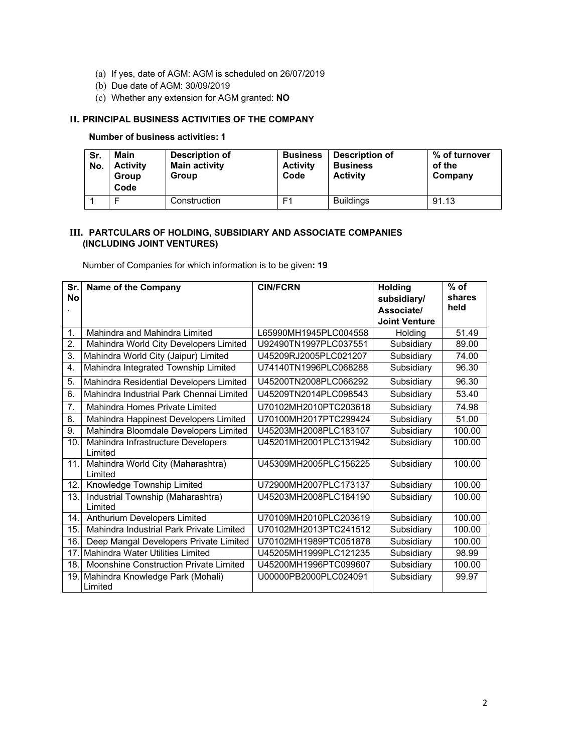- (a) If yes, date of AGM: AGM is scheduled on 26/07/2019
- (b) Due date of AGM: 30/09/2019
- (c) Whether any extension for AGM granted: **NO**

# **II. PRINCIPAL BUSINESS ACTIVITIES OF THE COMPANY**

# **Number of business activities: 1**

| Sr.<br>No. | Main<br><b>Activity</b><br>Group<br>Code | <b>Description of</b><br><b>Main activity</b><br>Group | <b>Business</b><br><b>Activity</b><br>Code | Description of<br><b>Business</b><br><b>Activity</b> | % of turnover<br>of the<br>Company |
|------------|------------------------------------------|--------------------------------------------------------|--------------------------------------------|------------------------------------------------------|------------------------------------|
|            |                                          | Construction                                           | F1                                         | <b>Buildings</b>                                     | 91.13                              |

# **III. PARTCULARS OF HOLDING, SUBSIDIARY AND ASSOCIATE COMPANIES (INCLUDING JOINT VENTURES)**

Number of Companies for which information is to be given**: 19** 

| Sr.<br><b>No</b> | <b>Name of the Company</b>                      | <b>CIN/FCRN</b>       | <b>Holding</b><br>subsidiary/ | $%$ of<br>shares |
|------------------|-------------------------------------------------|-----------------------|-------------------------------|------------------|
|                  |                                                 |                       | Associate/                    | held             |
|                  |                                                 |                       | <b>Joint Venture</b>          |                  |
| 1.               | Mahindra and Mahindra Limited                   | L65990MH1945PLC004558 | Holding                       | 51.49            |
| 2.               | Mahindra World City Developers Limited          | U92490TN1997PLC037551 | Subsidiary                    | 89.00            |
| 3.               | Mahindra World City (Jaipur) Limited            | U45209RJ2005PLC021207 | Subsidiary                    | 74.00            |
| 4.               | Mahindra Integrated Township Limited            | U74140TN1996PLC068288 | Subsidiary                    | 96.30            |
| 5.               | Mahindra Residential Developers Limited         | U45200TN2008PLC066292 | Subsidiary                    | 96.30            |
| 6.               | Mahindra Industrial Park Chennai Limited        | U45209TN2014PLC098543 | Subsidiary                    | 53.40            |
| 7.               | Mahindra Homes Private Limited                  | U70102MH2010PTC203618 | Subsidiary                    | 74.98            |
| 8.               | Mahindra Happinest Developers Limited           | U70100MH2017PTC299424 | Subsidiary                    | 51.00            |
| 9.               | Mahindra Bloomdale Developers Limited           | U45203MH2008PLC183107 | Subsidiary                    | 100.00           |
| 10.              | Mahindra Infrastructure Developers<br>Limited   | U45201MH2001PLC131942 | Subsidiary                    | 100.00           |
| 11.              | Mahindra World City (Maharashtra)<br>Limited    | U45309MH2005PLC156225 | Subsidiary                    | 100.00           |
| 12.              | Knowledge Township Limited                      | U72900MH2007PLC173137 | Subsidiary                    | 100.00           |
| 13.              | Industrial Township (Maharashtra)<br>Limited    | U45203MH2008PLC184190 | Subsidiary                    | 100.00           |
| 14.              | Anthurium Developers Limited                    | U70109MH2010PLC203619 | Subsidiary                    | 100.00           |
| 15.              | Mahindra Industrial Park Private Limited        | U70102MH2013PTC241512 | Subsidiary                    | 100.00           |
| 16.              | Deep Mangal Developers Private Limited          | U70102MH1989PTC051878 | Subsidiary                    | 100.00           |
| 17.              | <b>Mahindra Water Utilities Limited</b>         | U45205MH1999PLC121235 | Subsidiary                    | 98.99            |
| 18.              | Moonshine Construction Private Limited          | U45200MH1996PTC099607 | Subsidiary                    | 100.00           |
|                  | 19. Mahindra Knowledge Park (Mohali)<br>Limited | U00000PB2000PLC024091 | Subsidiary                    | 99.97            |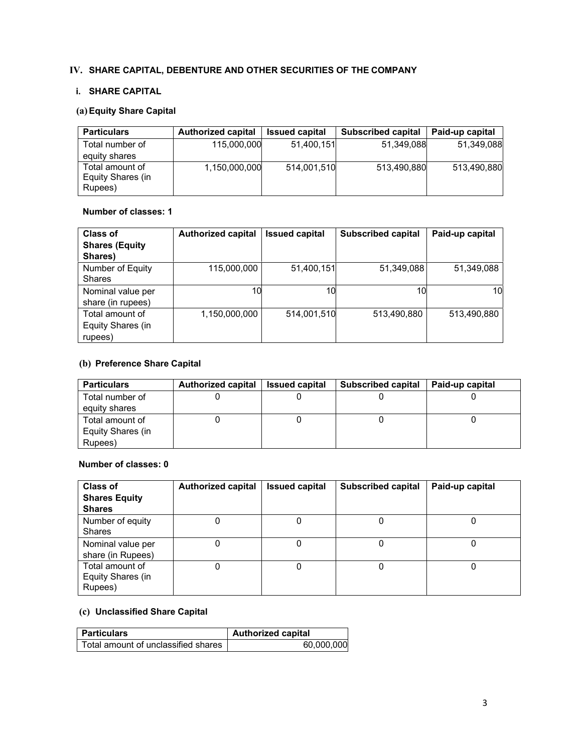# **IV. SHARE CAPITAL, DEBENTURE AND OTHER SECURITIES OF THE COMPANY**

# **i. SHARE CAPITAL**

# **(a)Equity Share Capital**

| <b>Particulars</b>                              | <b>Authorized capital</b> | <b>Issued capital</b> | <b>Subscribed capital</b> | Paid-up capital |
|-------------------------------------------------|---------------------------|-----------------------|---------------------------|-----------------|
| Total number of                                 | 115,000,000               | 51,400,151            | 51,349,088                | 51.349.088      |
| equity shares                                   |                           |                       |                           |                 |
| Total amount of<br>Equity Shares (in<br>Rupees) | 1,150,000,000             | 514.001.510           | 513,490,880               | 513,490,880     |

#### **Number of classes: 1**

| Class of<br><b>Shares (Equity</b> | <b>Authorized capital</b> | <b>Issued capital</b> | <b>Subscribed capital</b> | Paid-up capital |
|-----------------------------------|---------------------------|-----------------------|---------------------------|-----------------|
| Shares)                           |                           |                       |                           |                 |
| Number of Equity                  | 115,000,000               | 51,400,151            | 51,349,088                | 51,349,088      |
| <b>Shares</b>                     |                           |                       |                           |                 |
| Nominal value per                 | 10                        | 10                    | 10                        | 10              |
| share (in rupees)                 |                           |                       |                           |                 |
| Total amount of                   | 1,150,000,000             | 514,001,510           | 513,490,880               | 513,490,880     |
| Equity Shares (in                 |                           |                       |                           |                 |
| rupees)                           |                           |                       |                           |                 |

# **(b) Preference Share Capital**

| <b>Particulars</b> | <b>Authorized capital</b> | <b>Issued capital</b> | <b>Subscribed capital</b> | Paid-up capital |
|--------------------|---------------------------|-----------------------|---------------------------|-----------------|
| Total number of    |                           |                       |                           |                 |
| equity shares      |                           |                       |                           |                 |
| Total amount of    |                           |                       |                           |                 |
| Equity Shares (in  |                           |                       |                           |                 |
| Rupees)            |                           |                       |                           |                 |

# **Number of classes: 0**

| Class of<br><b>Shares Equity</b><br><b>Shares</b> | <b>Authorized capital</b> | <b>Issued capital</b> | <b>Subscribed capital</b> | Paid-up capital |
|---------------------------------------------------|---------------------------|-----------------------|---------------------------|-----------------|
| Number of equity<br><b>Shares</b>                 |                           |                       |                           |                 |
| Nominal value per<br>share (in Rupees)            |                           |                       |                           |                 |
| Total amount of<br>Equity Shares (in<br>Rupees)   |                           |                       |                           |                 |

# **(c) Unclassified Share Capital**

| <b>Particulars</b>                    | Authorized capital |
|---------------------------------------|--------------------|
| Total amount of unclassified shares I | 60,000,000         |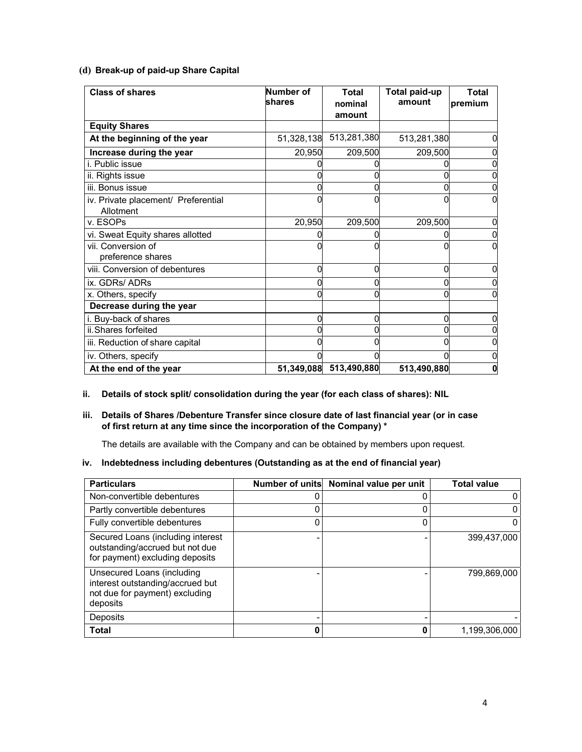#### **(d) Break-up of paid-up Share Capital**

| <b>Class of shares</b>                           | Number of<br>shares | <b>Total</b><br>nominal | <b>Total paid-up</b><br>amount | <b>Total</b><br>premium |
|--------------------------------------------------|---------------------|-------------------------|--------------------------------|-------------------------|
|                                                  |                     | amount                  |                                |                         |
| <b>Equity Shares</b>                             |                     |                         |                                |                         |
| At the beginning of the year                     | 51,328,138          | 513,281,380             | 513,281,380                    |                         |
| Increase during the year                         | 20,950              | 209,500                 | 209,500                        |                         |
| i. Public issue                                  |                     |                         |                                |                         |
| ii. Rights issue                                 |                     |                         |                                |                         |
| iii. Bonus issue                                 |                     |                         |                                |                         |
| iv. Private placement/ Preferential<br>Allotment |                     |                         |                                |                         |
| v. ESOPs                                         | 20,950              | 209,500                 | 209,500                        |                         |
| vi. Sweat Equity shares allotted                 |                     |                         |                                |                         |
| vii. Conversion of<br>preference shares          |                     |                         |                                |                         |
| viii. Conversion of debentures                   |                     |                         |                                |                         |
| ix. GDRs/ ADRs                                   |                     |                         |                                |                         |
| x. Others, specify                               |                     |                         |                                |                         |
| Decrease during the year                         |                     |                         |                                |                         |
| i. Buy-back of shares                            | 0                   | O                       | U                              |                         |
| ii. Shares forfeited                             |                     |                         |                                |                         |
| iii. Reduction of share capital                  |                     |                         |                                |                         |
| iv. Others, specify                              |                     |                         |                                |                         |
| At the end of the year                           | 51,349,088          | 513,490,880             | 513,490,880                    |                         |

# **ii. Details of stock split/ consolidation during the year (for each class of shares): NIL**

# **iii. Details of Shares /Debenture Transfer since closure date of last financial year (or in case of first return at any time since the incorporation of the Company) \***

The details are available with the Company and can be obtained by members upon request.

# **iv. Indebtedness including debentures (Outstanding as at the end of financial year)**

| <b>Particulars</b>                                                                                           | Number of units Nominal value per unit | <b>Total value</b> |
|--------------------------------------------------------------------------------------------------------------|----------------------------------------|--------------------|
| Non-convertible debentures                                                                                   |                                        |                    |
| Partly convertible debentures                                                                                |                                        |                    |
| Fully convertible debentures                                                                                 |                                        |                    |
| Secured Loans (including interest<br>outstanding/accrued but not due<br>for payment) excluding deposits      |                                        | 399,437,000        |
| Unsecured Loans (including<br>interest outstanding/accrued but<br>not due for payment) excluding<br>deposits |                                        | 799.869.000        |
| Deposits                                                                                                     |                                        |                    |
| <b>Total</b>                                                                                                 | 0                                      | 1,199,306,000      |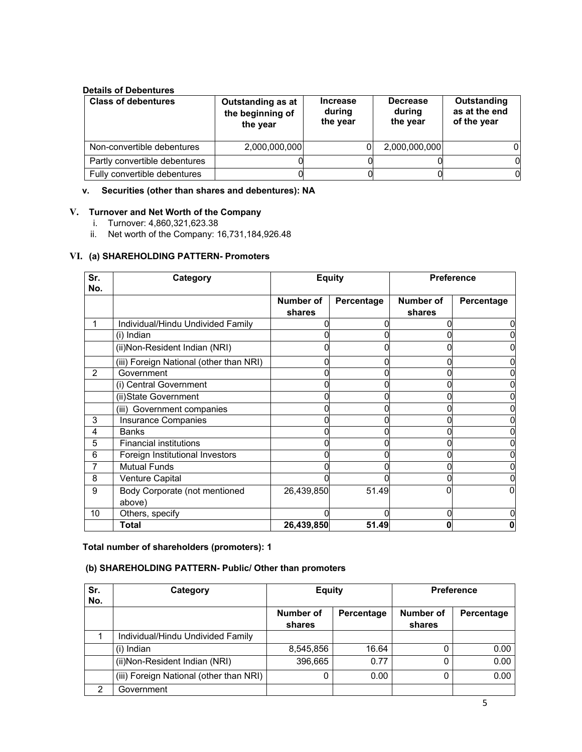# **Details of Debentures**

| <b>Class of debentures</b>    | Outstanding as at<br>the beginning of<br>the year | <b>Increase</b><br>during<br>the year | <b>Decrease</b><br>during<br>the year | Outstanding<br>as at the end<br>of the year |
|-------------------------------|---------------------------------------------------|---------------------------------------|---------------------------------------|---------------------------------------------|
| Non-convertible debentures    | 2,000,000,000                                     |                                       | 2,000,000,000                         |                                             |
| Partly convertible debentures |                                                   |                                       |                                       |                                             |
| Fully convertible debentures  |                                                   |                                       |                                       |                                             |

#### **v. Securities (other than shares and debentures): NA**

## **V. Turnover and Net Worth of the Company**

- i. Turnover: 4,860,321,623.38
- ii. Net worth of the Company: 16,731,184,926.48

#### **VI. (a) SHAREHOLDING PATTERN- Promoters**

| Sr.<br>No.    | Category                                |                     | <b>Equity</b> | <b>Preference</b>   |            |
|---------------|-----------------------------------------|---------------------|---------------|---------------------|------------|
|               |                                         | Number of<br>shares | Percentage    | Number of<br>shares | Percentage |
|               | Individual/Hindu Undivided Family       |                     |               |                     |            |
|               | (i) Indian                              |                     |               |                     |            |
|               | (ii) Non-Resident Indian (NRI)          |                     |               |                     |            |
|               | (iii) Foreign National (other than NRI) |                     |               |                     |            |
| $\mathcal{P}$ | Government                              |                     |               |                     |            |
|               | (i) Central Government                  |                     |               |                     |            |
|               | (ii) State Government                   |                     |               |                     |            |
|               | (iii) Government companies              |                     |               |                     |            |
| 3             | Insurance Companies                     |                     |               |                     |            |
| 4             | <b>Banks</b>                            |                     |               |                     |            |
| 5             | <b>Financial institutions</b>           |                     |               |                     |            |
| 6             | Foreign Institutional Investors         |                     |               |                     |            |
| 7             | <b>Mutual Funds</b>                     |                     |               |                     |            |
| 8             | Venture Capital                         |                     |               |                     |            |
| 9             | Body Corporate (not mentioned<br>above) | 26,439,850          | 51.49         |                     |            |
| 10            | Others, specify                         |                     |               |                     |            |
|               | <b>Total</b>                            | 26,439,850          | 51.49         |                     |            |

#### **Total number of shareholders (promoters): 1**

# **(b) SHAREHOLDING PATTERN- Public/ Other than promoters**

| Sr.<br>No. | Category                                | <b>Equity</b>       |            | <b>Preference</b>   |            |
|------------|-----------------------------------------|---------------------|------------|---------------------|------------|
|            |                                         | Number of<br>shares | Percentage | Number of<br>shares | Percentage |
|            | Individual/Hindu Undivided Family       |                     |            |                     |            |
|            | (i) Indian                              | 8,545,856           | 16.64      |                     | 0.00       |
|            | (ii) Non-Resident Indian (NRI)          | 396,665             | 0.77       |                     | 0.00       |
|            | (iii) Foreign National (other than NRI) | 0                   | 0.00       |                     | 0.00       |
| 2          | Government                              |                     |            |                     |            |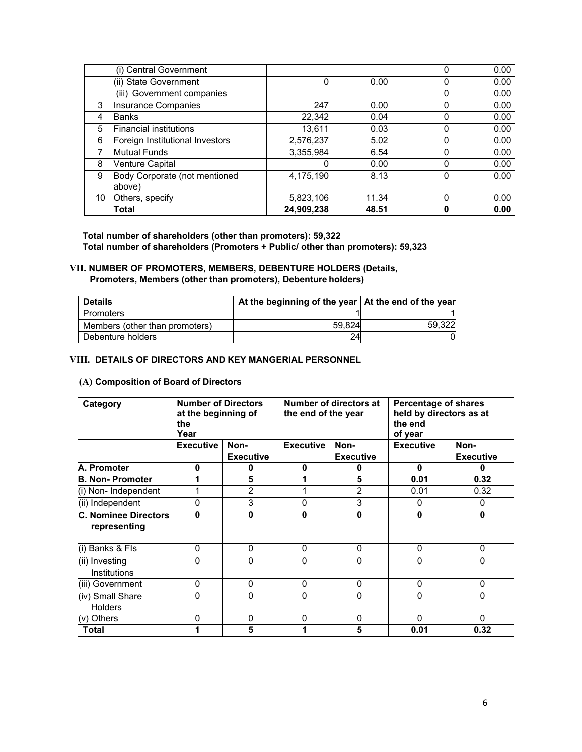|    | (i) Central Government          |            |       | 0 | 0.00 |
|----|---------------------------------|------------|-------|---|------|
|    | (ii) State Government           | 0          | 0.00  | 0 | 0.00 |
|    | (iii) Government companies      |            |       | 0 | 0.00 |
| 3  | Insurance Companies             | 247        | 0.00  | 0 | 0.00 |
| 4  | <b>Banks</b>                    | 22,342     | 0.04  | 0 | 0.00 |
| 5  | <b>Financial institutions</b>   | 13,611     | 0.03  | 0 | 0.00 |
| 6  | Foreign Institutional Investors | 2,576,237  | 5.02  | 0 | 0.00 |
|    | <b>Mutual Funds</b>             | 3,355,984  | 6.54  | 0 | 0.00 |
| 8  | <b>Venture Capital</b>          |            | 0.00  | 0 | 0.00 |
| 9  | Body Corporate (not mentioned   | 4,175,190  | 8.13  | 0 | 0.00 |
|    | above)                          |            |       |   |      |
| 10 | Others, specify                 | 5,823,106  | 11.34 | 0 | 0.00 |
|    | Total                           | 24,909,238 | 48.51 | 0 | 0.00 |

**Total number of shareholders (other than promoters): 59,322 Total number of shareholders (Promoters + Public/ other than promoters): 59,323** 

# **VII. NUMBER OF PROMOTERS, MEMBERS, DEBENTURE HOLDERS (Details,**

**Promoters, Members (other than promoters), Debenture holders)** 

| <b>Details</b>                 | At the beginning of the year   At the end of the year |        |
|--------------------------------|-------------------------------------------------------|--------|
| Promoters                      |                                                       |        |
| Members (other than promoters) | 59.824                                                | 59.322 |
| Debenture holders              |                                                       |        |

# **VIII. DETAILS OF DIRECTORS AND KEY MANGERIAL PERSONNEL**

# **(A) Composition of Board of Directors**

| <b>Number of Directors</b><br>Category<br>at the beginning of<br>the<br>Year |                  | Number of directors at<br>the end of the year |                  | <b>Percentage of shares</b><br>held by directors as at<br>the end<br>of year |                  |                  |
|------------------------------------------------------------------------------|------------------|-----------------------------------------------|------------------|------------------------------------------------------------------------------|------------------|------------------|
|                                                                              | <b>Executive</b> | Non-                                          | <b>Executive</b> | Non-                                                                         | <b>Executive</b> | Non-             |
|                                                                              |                  | <b>Executive</b>                              | $\mathbf{0}$     | <b>Executive</b>                                                             |                  | <b>Executive</b> |
| A. Promoter                                                                  | 0                | 0                                             |                  | 0                                                                            | 0                | o                |
| <b>B. Non-Promoter</b>                                                       | 1                | 5                                             |                  | 5                                                                            | 0.01             | 0.32             |
| (i) Non- Independent                                                         | 1                | $\overline{2}$                                |                  | 2                                                                            | 0.01             | 0.32             |
| (ii) Independent                                                             | 0                | 3                                             | $\Omega$         | 3                                                                            | 0                | 0                |
| C. Nominee Directors<br>representing                                         | 0                | $\mathbf{0}$                                  | ŋ                | 0                                                                            | 0                | O                |
| (i) Banks & FIs                                                              | 0                | 0                                             | $\mathbf{0}$     | 0                                                                            | 0                | 0                |
| (ii) Investing<br>Institutions                                               | 0                | $\mathbf{0}$                                  | $\Omega$         | 0                                                                            | 0                | 0                |
| (iii) Government                                                             | 0                | 0                                             | $\mathbf{0}$     | 0                                                                            | 0                | 0                |
| (iv) Small Share<br><b>Holders</b>                                           | 0                | $\Omega$                                      | $\Omega$         | 0                                                                            | 0                | 0                |
| (v) Others                                                                   | 0                | 0                                             | $\mathbf{0}$     | 0                                                                            | 0                | 0                |
| Total                                                                        | 1                | 5                                             |                  | 5                                                                            | 0.01             | 0.32             |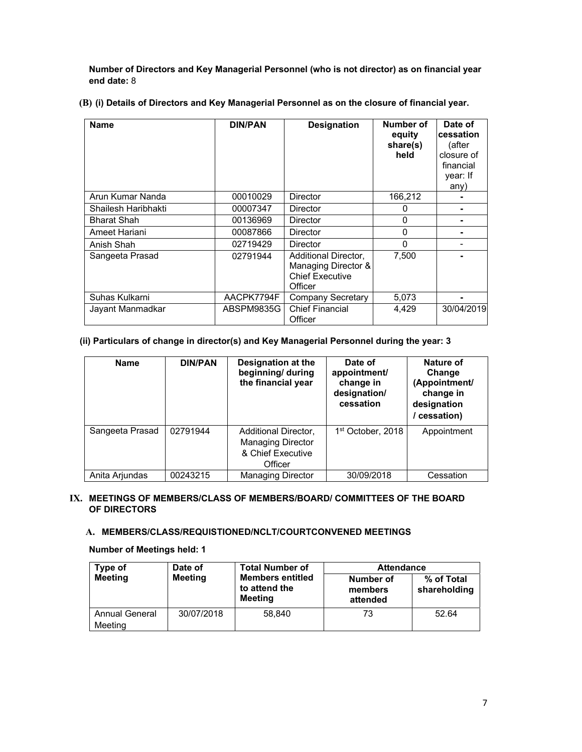**Number of Directors and Key Managerial Personnel (who is not director) as on financial year end date:** 8

**(B) (i) Details of Directors and Key Managerial Personnel as on the closure of financial year.** 

| <b>Name</b>         | <b>DIN/PAN</b> | <b>Designation</b>                                                               | Number of<br>equity<br>share(s)<br>held | Date of<br>cessation<br>(after<br>closure of<br>financial<br>year: If<br>any) |
|---------------------|----------------|----------------------------------------------------------------------------------|-----------------------------------------|-------------------------------------------------------------------------------|
| Arun Kumar Nanda    | 00010029       | Director                                                                         | 166,212                                 |                                                                               |
| Shailesh Haribhakti | 00007347       | Director                                                                         | O                                       |                                                                               |
| <b>Bharat Shah</b>  | 00136969       | Director                                                                         | 0                                       |                                                                               |
| Ameet Hariani       | 00087866       | Director                                                                         | 0                                       |                                                                               |
| Anish Shah          | 02719429       | Director                                                                         | 0                                       |                                                                               |
| Sangeeta Prasad     | 02791944       | Additional Director,<br>Managing Director &<br><b>Chief Executive</b><br>Officer | 7,500                                   |                                                                               |
| Suhas Kulkarni      | AACPK7794F     | Company Secretary                                                                | 5,073                                   |                                                                               |
| Jayant Manmadkar    | ABSPM9835G     | <b>Chief Financial</b><br>Officer                                                | 4.429                                   | 30/04/2019                                                                    |

# **(ii) Particulars of change in director(s) and Key Managerial Personnel during the year: 3**

| <b>Name</b>     | <b>DIN/PAN</b> | Designation at the<br>beginning/ during<br>the financial year                    | Date of<br>appointment/<br>change in<br>designation/<br>cessation | Nature of<br>Change<br>(Appointment/<br>change in<br>designation<br>cessation) |
|-----------------|----------------|----------------------------------------------------------------------------------|-------------------------------------------------------------------|--------------------------------------------------------------------------------|
| Sangeeta Prasad | 02791944       | Additional Director,<br><b>Managing Director</b><br>& Chief Executive<br>Officer | 1 <sup>st</sup> October, 2018                                     | Appointment                                                                    |
| Anita Arjundas  | 00243215       | <b>Managing Director</b>                                                         | 30/09/2018                                                        | Cessation                                                                      |

# **IX. MEETINGS OF MEMBERS/CLASS OF MEMBERS/BOARD/ COMMITTEES OF THE BOARD OF DIRECTORS**

# **A. MEMBERS/CLASS/REQUISTIONED/NCLT/COURTCONVENED MEETINGS**

## **Number of Meetings held: 1**

| Type of                          | Date of        | <b>Total Number of</b>                                     | <b>Attendance</b>                |                            |  |
|----------------------------------|----------------|------------------------------------------------------------|----------------------------------|----------------------------|--|
| <b>Meeting</b>                   | <b>Meeting</b> | <b>Members entitled</b><br>to attend the<br><b>Meeting</b> | Number of<br>members<br>attended | % of Total<br>shareholding |  |
| <b>Annual General</b><br>Meeting | 30/07/2018     | 58.840                                                     | 73                               | 52.64                      |  |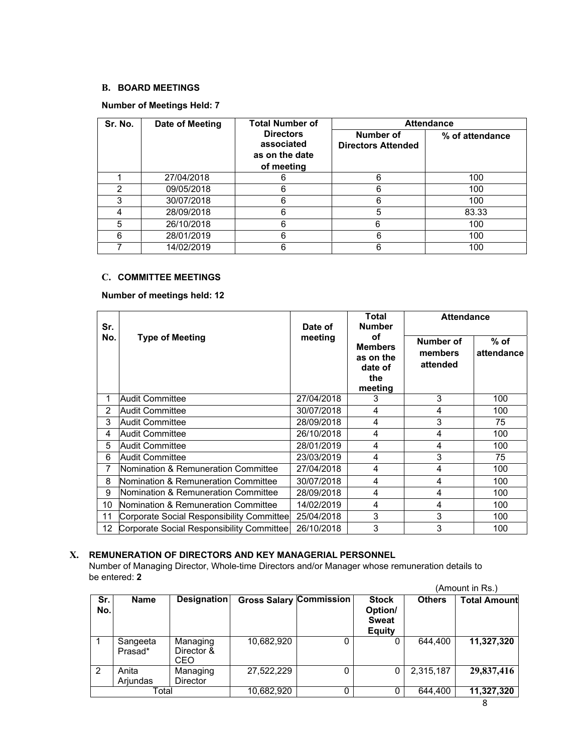# **B. BOARD MEETINGS**

# **Number of Meetings Held: 7**

| Sr. No. | Date of Meeting | <b>Total Number of</b>                                         | <b>Attendance</b>                      |                 |  |  |
|---------|-----------------|----------------------------------------------------------------|----------------------------------------|-----------------|--|--|
|         |                 | <b>Directors</b><br>associated<br>as on the date<br>of meeting | Number of<br><b>Directors Attended</b> | % of attendance |  |  |
|         | 27/04/2018      | 6                                                              |                                        | 100             |  |  |
|         | 09/05/2018      | 6                                                              | 6                                      | 100             |  |  |
| 3       | 30/07/2018      | 6                                                              | 6                                      | 100             |  |  |
| 4       | 28/09/2018      | 6                                                              | 5                                      | 83.33           |  |  |
| 5       | 26/10/2018      | 6                                                              | 6                                      | 100             |  |  |
| 6       | 28/01/2019      | 6                                                              | 6                                      | 100             |  |  |
|         | 14/02/2019      | 6                                                              | 6                                      | 100             |  |  |

# **C. COMMITTEE MEETINGS**

**Number of meetings held: 12** 

| Sr.           |                                           | Date of    | Total<br><b>Number</b>                                         | <b>Attendance</b>                |                      |
|---------------|-------------------------------------------|------------|----------------------------------------------------------------|----------------------------------|----------------------|
| No.           | <b>Type of Meeting</b>                    | meeting    | οf<br><b>Members</b><br>as on the<br>date of<br>the<br>meeting | Number of<br>members<br>attended | $%$ of<br>attendance |
|               | Audit Committee                           | 27/04/2018 | 3                                                              | 3                                | 100                  |
| $\mathcal{P}$ | <b>Audit Committee</b>                    | 30/07/2018 | 4                                                              | 4                                | 100                  |
| 3             | Audit Committee                           | 28/09/2018 | 4                                                              | 3                                | 75                   |
| 4             | Audit Committee                           | 26/10/2018 | 4                                                              | 4                                | 100                  |
| 5             | Audit Committee                           | 28/01/2019 | 4                                                              | 4                                | 100                  |
| 6             | Audit Committee                           | 23/03/2019 | 4                                                              | 3                                | 75                   |
|               | Nomination & Remuneration Committee       | 27/04/2018 | 4                                                              | 4                                | 100                  |
| 8             | Nomination & Remuneration Committee       | 30/07/2018 | 4                                                              | 4                                | 100                  |
| 9             | Nomination & Remuneration Committee       | 28/09/2018 | 4                                                              | 4                                | 100                  |
| 10            | Nomination & Remuneration Committee       | 14/02/2019 | 4                                                              | 4                                | 100                  |
| 11            | Corporate Social Responsibility Committee | 25/04/2018 | 3                                                              | 3                                | 100                  |
| 12            | Corporate Social Responsibility Committee | 26/10/2018 | 3                                                              | 3                                | 100                  |

# **X. REMUNERATION OF DIRECTORS AND KEY MANAGERIAL PERSONNEL**

Number of Managing Director, Whole-time Directors and/or Manager whose remuneration details to be entered: **2**  (Amount in Rs.)

|            |                     |                               |                                |   |                                                          |               | (Amount in Rs.)     |
|------------|---------------------|-------------------------------|--------------------------------|---|----------------------------------------------------------|---------------|---------------------|
| Sr.<br>No. | Name                | Designation                   | <b>Gross Salary Commission</b> |   | <b>Stock</b><br>Option/<br><b>Sweat</b><br><b>Equity</b> | <b>Others</b> | <b>Total Amount</b> |
|            | Sangeeta<br>Prasad* | Managing<br>Director &<br>CEO | 10,682,920                     |   |                                                          | 644.400       | 11,327,320          |
| 2          | Anita<br>Arjundas   | Managing<br><b>Director</b>   | 27,522,229                     | 0 |                                                          | 2,315,187     | 29,837,416          |
| Total      |                     |                               | 10,682,920                     |   |                                                          | 644.400       | 11,327,320          |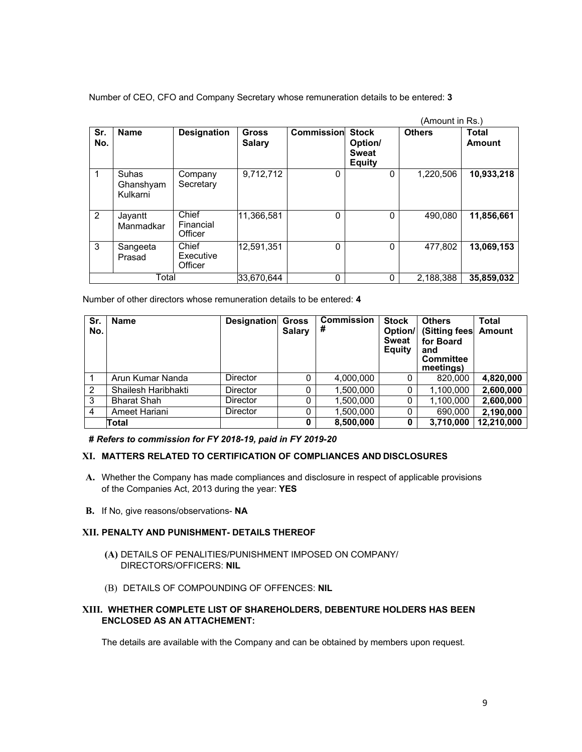Number of CEO, CFO and Company Secretary whose remuneration details to be entered: **3** 

|                |                                |                               |                               |                   |                                                          | (Amount in Rs.) |                        |
|----------------|--------------------------------|-------------------------------|-------------------------------|-------------------|----------------------------------------------------------|-----------------|------------------------|
| Sr.<br>No.     | <b>Name</b>                    | <b>Designation</b>            | <b>Gross</b><br><b>Salary</b> | <b>Commission</b> | <b>Stock</b><br>Option/<br><b>Sweat</b><br><b>Equity</b> | <b>Others</b>   | Total<br><b>Amount</b> |
|                | Suhas<br>Ghanshyam<br>Kulkarni | Company<br>Secretary          | 9,712,712                     | 0                 | 0                                                        | 1.220.506       | 10,933,218             |
| $\overline{2}$ | Jayantt<br>Manmadkar           | Chief<br>Financial<br>Officer | 11,366,581                    | $\Omega$          | 0                                                        | 490,080         | 11,856,661             |
| 3              | Sangeeta<br>Prasad             | Chief<br>Executive<br>Officer | 12,591,351                    | $\Omega$          | 0                                                        | 477,802         | 13,069,153             |
|                | Total                          |                               | 33.670.644                    | $\Omega$          | 0                                                        | 2.188.388       | 35.859.032             |

Number of other directors whose remuneration details to be entered: **4** 

| Sr.<br>No. | <b>Name</b>         | <b>Designation</b> | <b>Gross</b><br><b>Salary</b> | <b>Commission</b><br># | <b>Stock</b><br>Option/<br><b>Sweat</b><br><b>Equity</b> | <b>Others</b><br>(Sitting fees<br>for Board<br>and<br><b>Committee</b><br>meetings) | <b>Total</b><br>Amount |
|------------|---------------------|--------------------|-------------------------------|------------------------|----------------------------------------------------------|-------------------------------------------------------------------------------------|------------------------|
|            | Arun Kumar Nanda    | Director           | 0                             | 4,000,000              |                                                          | 820,000                                                                             | 4,820,000              |
| 2          | Shailesh Haribhakti | <b>Director</b>    | 0                             | 1,500,000              |                                                          | 1,100,000                                                                           | 2,600,000              |
| 3          | <b>Bharat Shah</b>  | <b>Director</b>    | 0                             | 1,500,000              |                                                          | 1,100,000                                                                           | 2,600,000              |
| 4          | Ameet Hariani       | <b>Director</b>    | 0                             | 1,500,000              |                                                          | 690,000                                                                             | 2,190,000              |
|            | Total               |                    | $\mathbf{0}$                  | 8,500,000              |                                                          | 3,710,000                                                                           | 12,210,000             |

**#** *Refers to commission for FY 2018-19, paid in FY 2019-20* 

#### **XI. MATTERS RELATED TO CERTIFICATION OF COMPLIANCES AND DISCLOSURES**

- **A.** Whether the Company has made compliances and disclosure in respect of applicable provisions of the Companies Act, 2013 during the year: **YES**
- **B.** If No, give reasons/observations- **NA**

# **XII. PENALTY AND PUNISHMENT- DETAILS THEREOF**

- **(A)** DETAILS OF PENALITIES/PUNISHMENT IMPOSED ON COMPANY/ DIRECTORS/OFFICERS: **NIL**
- (B) DETAILS OF COMPOUNDING OF OFFENCES: **NIL**

#### **XIII. WHETHER COMPLETE LIST OF SHAREHOLDERS, DEBENTURE HOLDERS HAS BEEN ENCLOSED AS AN ATTACHEMENT:**

The details are available with the Company and can be obtained by members upon request.